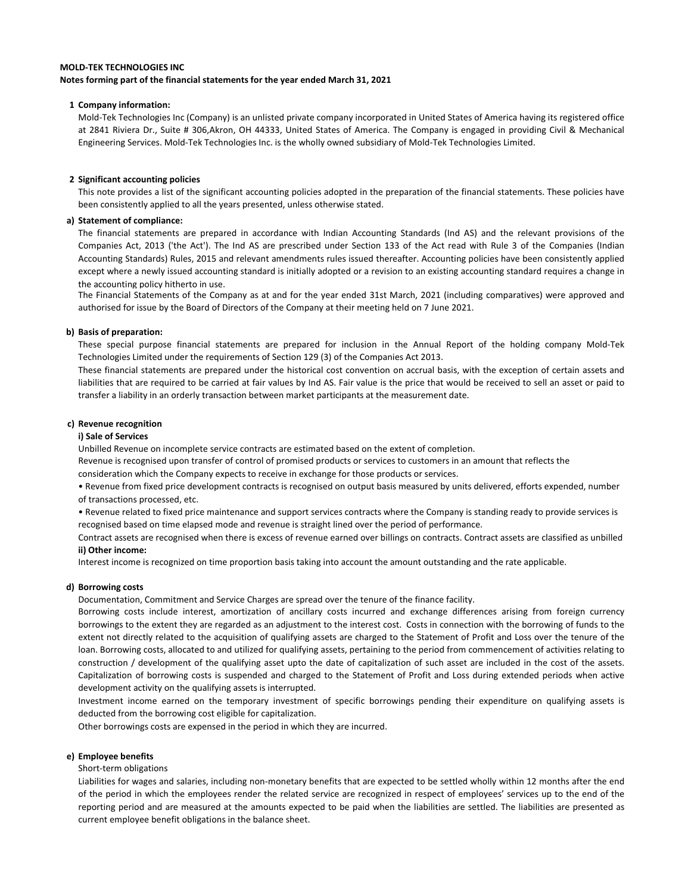### **Notes forming part of the financial statements for the year ended March 31, 2021**

### **1 Company information:**

Mold-Tek Technologies Inc (Company) is an unlisted private company incorporated in United States of America having its registered office at 2841 Riviera Dr., Suite # 306,Akron, OH 44333, United States of America. The Company is engaged in providing Civil & Mechanical Engineering Services. Mold-Tek Technologies Inc. is the wholly owned subsidiary of Mold-Tek Technologies Limited.

### **2 Significant accounting policies**

This note provides a list of the significant accounting policies adopted in the preparation of the financial statements. These policies have been consistently applied to all the years presented, unless otherwise stated.

### **a) Statement of compliance:**

The financial statements are prepared in accordance with Indian Accounting Standards (Ind AS) and the relevant provisions of the Companies Act, 2013 ('the Act'). The Ind AS are prescribed under Section 133 of the Act read with Rule 3 of the Companies (Indian Accounting Standards) Rules, 2015 and relevant amendments rules issued thereafter. Accounting policies have been consistently applied except where a newly issued accounting standard is initially adopted or a revision to an existing accounting standard requires a change in the accounting policy hitherto in use.

The Financial Statements of the Company as at and for the year ended 31st March, 2021 (including comparatives) were approved and authorised for issue by the Board of Directors of the Company at their meeting held on 7 June 2021.

### **b) Basis of preparation:**

These special purpose financial statements are prepared for inclusion in the Annual Report of the holding company Mold-Tek Technologies Limited under the requirements of Section 129 (3) of the Companies Act 2013.

These financial statements are prepared under the historical cost convention on accrual basis, with the exception of certain assets and liabilities that are required to be carried at fair values by Ind AS. Fair value is the price that would be received to sell an asset or paid to transfer a liability in an orderly transaction between market participants at the measurement date.

### **c) Revenue recognition**

### **i) Sale of Services**

Unbilled Revenue on incomplete service contracts are estimated based on the extent of completion. Revenue is recognised upon transfer of control of promised products or services to customers in an amount that reflects the

consideration which the Company expects to receive in exchange for those products or services.

• Revenue from fixed price development contracts is recognised on output basis measured by units delivered, efforts expended, number of transactions processed, etc.

• Revenue related to fixed price maintenance and support services contracts where the Company is standing ready to provide services is recognised based on time elapsed mode and revenue is straight lined over the period of performance.

**ii) Other income:**  Contract assets are recognised when there is excess of revenue earned over billings on contracts. Contract assets are classified as unbilled

Interest income is recognized on time proportion basis taking into account the amount outstanding and the rate applicable.

### **d) Borrowing costs**

Documentation, Commitment and Service Charges are spread over the tenure of the finance facility.

Borrowing costs include interest, amortization of ancillary costs incurred and exchange differences arising from foreign currency borrowings to the extent they are regarded as an adjustment to the interest cost. Costs in connection with the borrowing of funds to the extent not directly related to the acquisition of qualifying assets are charged to the Statement of Profit and Loss over the tenure of the loan. Borrowing costs, allocated to and utilized for qualifying assets, pertaining to the period from commencement of activities relating to construction / development of the qualifying asset upto the date of capitalization of such asset are included in the cost of the assets. Capitalization of borrowing costs is suspended and charged to the Statement of Profit and Loss during extended periods when active development activity on the qualifying assets is interrupted.

Investment income earned on the temporary investment of specific borrowings pending their expenditure on qualifying assets is deducted from the borrowing cost eligible for capitalization.

Other borrowings costs are expensed in the period in which they are incurred.

### **e) Employee benefits**

Short-term obligations

Liabilities for wages and salaries, including non-monetary benefits that are expected to be settled wholly within 12 months after the end of the period in which the employees render the related service are recognized in respect of employees' services up to the end of the reporting period and are measured at the amounts expected to be paid when the liabilities are settled. The liabilities are presented as current employee benefit obligations in the balance sheet.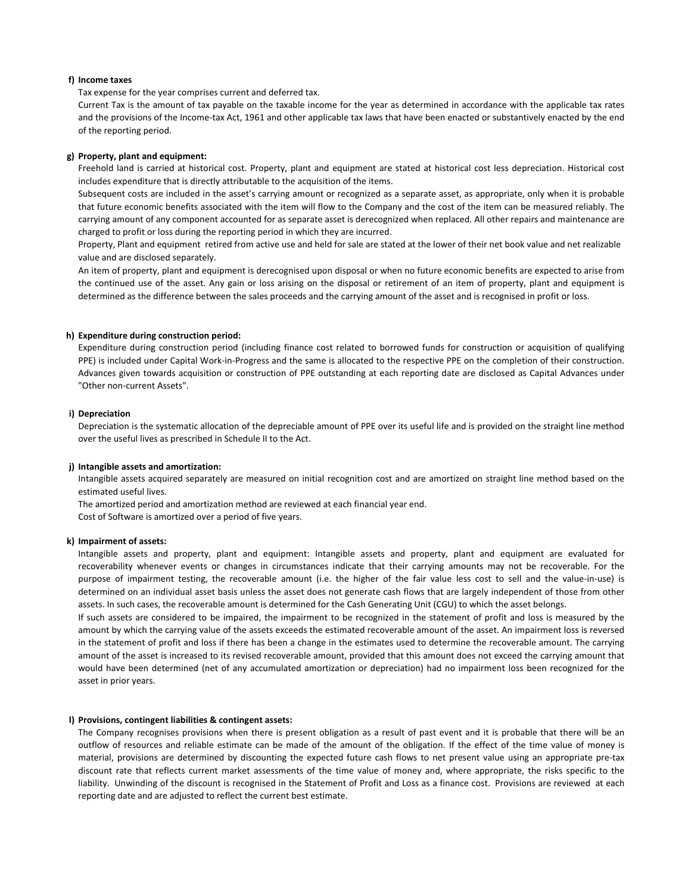### **f) Income taxes**

Tax expense for the year comprises current and deferred tax.

Current Tax is the amount of tax payable on the taxable income for the year as determined in accordance with the applicable tax rates and the provisions of the Income-tax Act, 1961 and other applicable tax laws that have been enacted or substantively enacted by the end of the reporting period.

### **g) Property, plant and equipment:**

Freehold land is carried at historical cost. Property, plant and equipment are stated at historical cost less depreciation. Historical cost includes expenditure that is directly attributable to the acquisition of the items.

Subsequent costs are included in the asset's carrying amount or recognized as a separate asset, as appropriate, only when it is probable that future economic benefits associated with the item will flow to the Company and the cost of the item can be measured reliably. The carrying amount of any component accounted for as separate asset is derecognized when replaced. All other repairs and maintenance are charged to profit or loss during the reporting period in which they are incurred.

Property, Plant and equipment retired from active use and held for sale are stated at the lower of their net book value and net realizable value and are disclosed separately.

An item of property, plant and equipment is derecognised upon disposal or when no future economic benefits are expected to arise from the continued use of the asset. Any gain or loss arising on the disposal or retirement of an item of property, plant and equipment is determined as the difference between the sales proceeds and the carrying amount of the asset and is recognised in profit or loss.

### **h) Expenditure during construction period:**

Expenditure during construction period (including finance cost related to borrowed funds for construction or acquisition of qualifying PPE) is included under Capital Work-in-Progress and the same is allocated to the respective PPE on the completion of their construction. Advances given towards acquisition or construction of PPE outstanding at each reporting date are disclosed as Capital Advances under "Other non-current Assets".

### **i) Depreciation**

Depreciation is the systematic allocation of the depreciable amount of PPE over its useful life and is provided on the straight line method over the useful lives as prescribed in Schedule II to the Act.

### **j) Intangible assets and amortization:**

Intangible assets acquired separately are measured on initial recognition cost and are amortized on straight line method based on the estimated useful lives.

The amortized period and amortization method are reviewed at each financial year end.

Cost of Software is amortized over a period of five years.

### **k) Impairment of assets:**

Intangible assets and property, plant and equipment: Intangible assets and property, plant and equipment are evaluated for recoverability whenever events or changes in circumstances indicate that their carrying amounts may not be recoverable. For the purpose of impairment testing, the recoverable amount (i.e. the higher of the fair value less cost to sell and the value-in-use) is determined on an individual asset basis unless the asset does not generate cash flows that are largely independent of those from other assets. In such cases, the recoverable amount is determined for the Cash Generating Unit (CGU) to which the asset belongs.

If such assets are considered to be impaired, the impairment to be recognized in the statement of profit and loss is measured by the amount by which the carrying value of the assets exceeds the estimated recoverable amount of the asset. An impairment loss is reversed in the statement of profit and loss if there has been a change in the estimates used to determine the recoverable amount. The carrying amount of the asset is increased to its revised recoverable amount, provided that this amount does not exceed the carrying amount that would have been determined (net of any accumulated amortization or depreciation) had no impairment loss been recognized for the asset in prior years.

### **l) Provisions, contingent liabilities & contingent assets:**

The Company recognises provisions when there is present obligation as a result of past event and it is probable that there will be an outflow of resources and reliable estimate can be made of the amount of the obligation. If the effect of the time value of money is material, provisions are determined by discounting the expected future cash flows to net present value using an appropriate pre-tax discount rate that reflects current market assessments of the time value of money and, where appropriate, the risks specific to the liability. Unwinding of the discount is recognised in the Statement of Profit and Loss as a finance cost. Provisions are reviewed at each reporting date and are adjusted to reflect the current best estimate.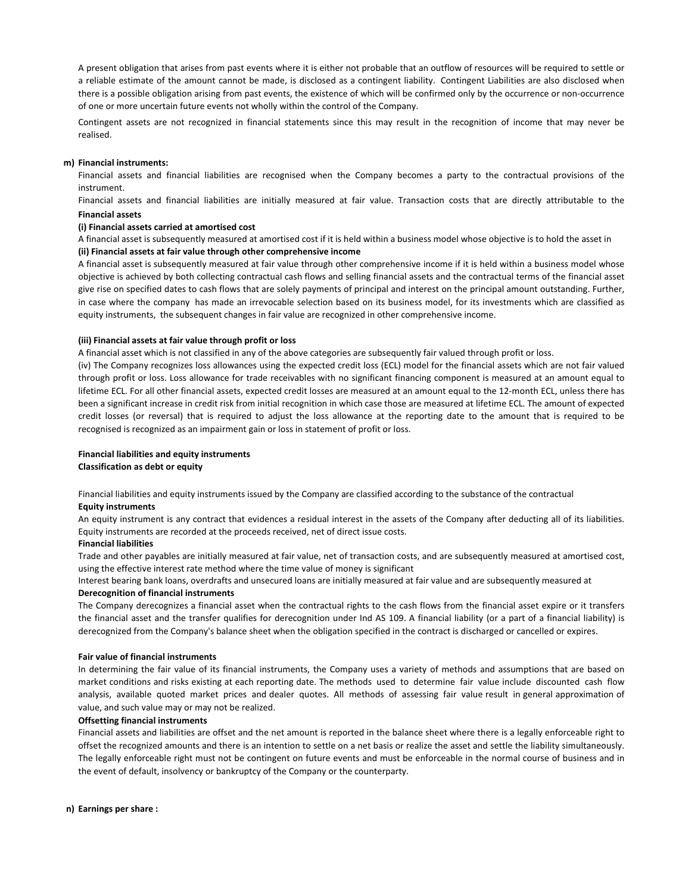A present obligation that arises from past events where it is either not probable that an outflow of resources will be required to settle or a reliable estimate of the amount cannot be made, is disclosed as a contingent liability. Contingent Liabilities are also disclosed when there is a possible obligation arising from past events, the existence of which will be confirmed only by the occurrence or non-occurrence of one or more uncertain future events not wholly within the control of the Company.

Contingent assets are not recognized in financial statements since this may result in the recognition of income that may never be realised.

#### **m) Financial instruments:**

Financial assets and financial liabilities are recognised when the Company becomes a party to the contractual provisions of the instrument.

Financial assets and financial liabilities are initially measured at fair value. Transaction costs that are directly attributable to the acquisition or issue of financial assets and financial liabilities (other than financial assets and financial liabilities at fair value through profit **Financial assets**

#### **(i) Financial assets carried at amortised cost**

A financial asset is subsequently measured at amortised cost if it is held within a business model whose objective is to hold the asset in **(ii) Financial assets at fair value through other comprehensive income**

A financial asset is subsequently measured at fair value through other comprehensive income if it is held within a business model whose objective is achieved by both collecting contractual cash flows and selling financial assets and the contractual terms of the financial asset give rise on specified dates to cash flows that are solely payments of principal and interest on the principal amount outstanding. Further, in case where the company has made an irrevocable selection based on its business model, for its investments which are classified as equity instruments, the subsequent changes in fair value are recognized in other comprehensive income.

### **(iii) Financial assets at fair value through profit or loss**

A financial asset which is not classified in any of the above categories are subsequently fair valued through profit or loss.

(iv) The Company recognizes loss allowances using the expected credit loss (ECL) model for the financial assets which are not fair valued through profit or loss. Loss allowance for trade receivables with no significant financing component is measured at an amount equal to lifetime ECL. For all other financial assets, expected credit losses are measured at an amount equal to the 12-month ECL, unless there has been a significant increase in credit risk from initial recognition in which case those are measured at lifetime ECL. The amount of expected credit losses (or reversal) that is required to adjust the loss allowance at the reporting date to the amount that is required to be recognised is recognized as an impairment gain or loss in statement of profit or loss.

# **Financial liabilities and equity instruments**

**Classification as debt or equity**

**Equity instruments** Financial liabilities and equity instruments issued by the Company are classified according to the substance of the contractual

An equity instrument is any contract that evidences a residual interest in the assets of the Company after deducting all of its liabilities. Equity instruments are recorded at the proceeds received, net of direct issue costs.

### **Financial liabilities**

Trade and other payables are initially measured at fair value, net of transaction costs, and are subsequently measured at amortised cost, using the effective interest rate method where the time value of money is significant

**Derecognition of financial instruments** Interest bearing bank loans, overdrafts and unsecured loans are initially measured at fair value and are subsequently measured at

The Company derecognizes a financial asset when the contractual rights to the cash flows from the financial asset expire or it transfers the financial asset and the transfer qualifies for derecognition under Ind AS 109. A financial liability (or a part of a financial liability) is derecognized from the Company's balance sheet when the obligation specified in the contract is discharged or cancelled or expires.

#### **Fair value of financial instruments**

In determining the fair value of its financial instruments, the Company uses a variety of methods and assumptions that are based on market conditions and risks existing at each reporting date. The methods used to determine fair value include discounted cash flow analysis, available quoted market prices and dealer quotes. All methods of assessing fair value result in general approximation of value, and such value may or may not be realized.

### **Offsetting financial instruments**

Financial assets and liabilities are offset and the net amount is reported in the balance sheet where there is a legally enforceable right to offset the recognized amounts and there is an intention to settle on a net basis or realize the asset and settle the liability simultaneously. The legally enforceable right must not be contingent on future events and must be enforceable in the normal course of business and in the event of default, insolvency or bankruptcy of the Company or the counterparty.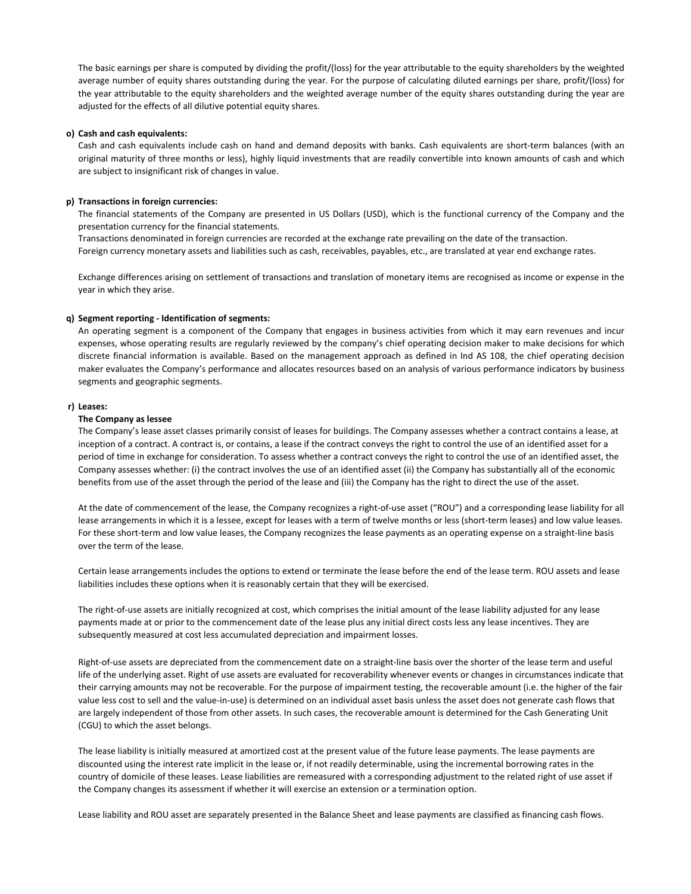The basic earnings per share is computed by dividing the profit/(loss) for the year attributable to the equity shareholders by the weighted average number of equity shares outstanding during the year. For the purpose of calculating diluted earnings per share, profit/(loss) for the year attributable to the equity shareholders and the weighted average number of the equity shares outstanding during the year are adjusted for the effects of all dilutive potential equity shares.

### **o) Cash and cash equivalents:**

Cash and cash equivalents include cash on hand and demand deposits with banks. Cash equivalents are short-term balances (with an original maturity of three months or less), highly liquid investments that are readily convertible into known amounts of cash and which are subject to insignificant risk of changes in value.

### **p) Transactions in foreign currencies:**

The financial statements of the Company are presented in US Dollars (USD), which is the functional currency of the Company and the presentation currency for the financial statements.

Transactions denominated in foreign currencies are recorded at the exchange rate prevailing on the date of the transaction. Foreign currency monetary assets and liabilities such as cash, receivables, payables, etc., are translated at year end exchange rates.

Exchange differences arising on settlement of transactions and translation of monetary items are recognised as income or expense in the year in which they arise.

### **q) Segment reporting - Identification of segments:**

An operating segment is a component of the Company that engages in business activities from which it may earn revenues and incur expenses, whose operating results are regularly reviewed by the company's chief operating decision maker to make decisions for which discrete financial information is available. Based on the management approach as defined in Ind AS 108, the chief operating decision maker evaluates the Company's performance and allocates resources based on an analysis of various performance indicators by business segments and geographic segments.

### **r) Leases:**

### **The Company as lessee**

The Company's lease asset classes primarily consist of leases for buildings. The Company assesses whether a contract contains a lease, at inception of a contract. A contract is, or contains, a lease if the contract conveys the right to control the use of an identified asset for a period of time in exchange for consideration. To assess whether a contract conveys the right to control the use of an identified asset, the Company assesses whether: (i) the contract involves the use of an identified asset (ii) the Company has substantially all of the economic benefits from use of the asset through the period of the lease and (iii) the Company has the right to direct the use of the asset.

At the date of commencement of the lease, the Company recognizes a right-of-use asset ("ROU") and a corresponding lease liability for all lease arrangements in which it is a lessee, except for leases with a term of twelve months or less (short-term leases) and low value leases. For these short-term and low value leases, the Company recognizes the lease payments as an operating expense on a straight-line basis over the term of the lease.

Certain lease arrangements includes the options to extend or terminate the lease before the end of the lease term. ROU assets and lease liabilities includes these options when it is reasonably certain that they will be exercised.

The right-of-use assets are initially recognized at cost, which comprises the initial amount of the lease liability adjusted for any lease payments made at or prior to the commencement date of the lease plus any initial direct costs less any lease incentives. They are subsequently measured at cost less accumulated depreciation and impairment losses.

Right-of-use assets are depreciated from the commencement date on a straight-line basis over the shorter of the lease term and useful life of the underlying asset. Right of use assets are evaluated for recoverability whenever events or changes in circumstances indicate that their carrying amounts may not be recoverable. For the purpose of impairment testing, the recoverable amount (i.e. the higher of the fair value less cost to sell and the value-in-use) is determined on an individual asset basis unless the asset does not generate cash flows that are largely independent of those from other assets. In such cases, the recoverable amount is determined for the Cash Generating Unit (CGU) to which the asset belongs.

The lease liability is initially measured at amortized cost at the present value of the future lease payments. The lease payments are discounted using the interest rate implicit in the lease or, if not readily determinable, using the incremental borrowing rates in the country of domicile of these leases. Lease liabilities are remeasured with a corresponding adjustment to the related right of use asset if the Company changes its assessment if whether it will exercise an extension or a termination option.

Lease liability and ROU asset are separately presented in the Balance Sheet and lease payments are classified as financing cash flows.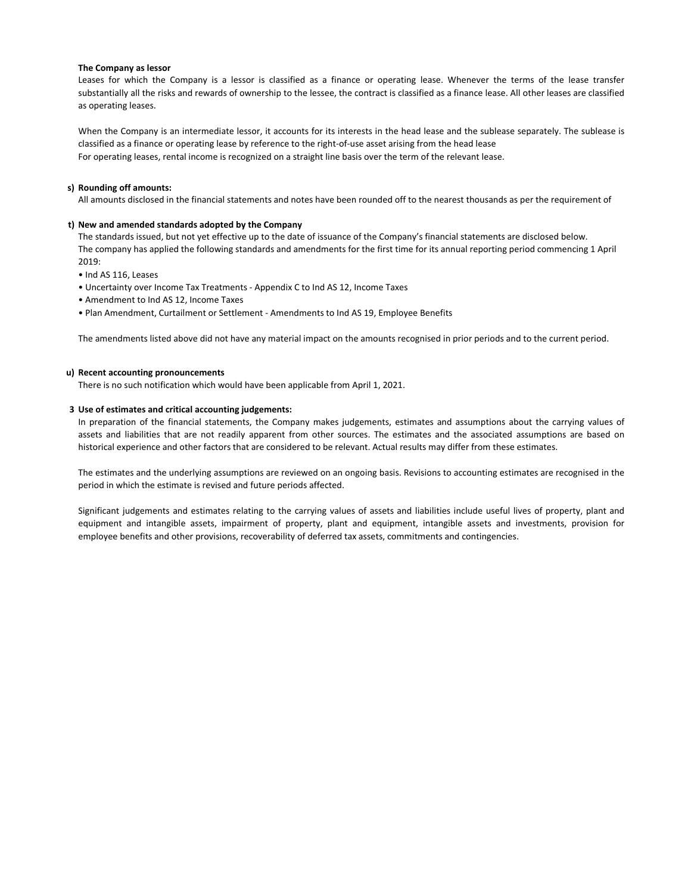### **The Company as lessor**

Leases for which the Company is a lessor is classified as a finance or operating lease. Whenever the terms of the lease transfer substantially all the risks and rewards of ownership to the lessee, the contract is classified as a finance lease. All other leases are classified as operating leases.

When the Company is an intermediate lessor, it accounts for its interests in the head lease and the sublease separately. The sublease is classified as a finance or operating lease by reference to the right-of-use asset arising from the head lease For operating leases, rental income is recognized on a straight line basis over the term of the relevant lease.

### **s) Rounding off amounts:**

All amounts disclosed in the financial statements and notes have been rounded off to the nearest thousands as per the requirement of

### **t) New and amended standards adopted by the Company**

The standards issued, but not yet effective up to the date of issuance of the Company's financial statements are disclosed below. The company has applied the following standards and amendments for the first time for its annual reporting period commencing 1 April 2019:

- Ind AS 116, Leases
- Uncertainty over Income Tax Treatments Appendix C to Ind AS 12, Income Taxes
- Amendment to Ind AS 12, Income Taxes
- Plan Amendment, Curtailment or Settlement Amendments to Ind AS 19, Employee Benefits

The amendments listed above did not have any material impact on the amounts recognised in prior periods and to the current period.

### **u) Recent accounting pronouncements**

There is no such notification which would have been applicable from April 1, 2021.

### **3 Use of estimates and critical accounting judgements:**

In preparation of the financial statements, the Company makes judgements, estimates and assumptions about the carrying values of assets and liabilities that are not readily apparent from other sources. The estimates and the associated assumptions are based on historical experience and other factors that are considered to be relevant. Actual results may differ from these estimates.

The estimates and the underlying assumptions are reviewed on an ongoing basis. Revisions to accounting estimates are recognised in the period in which the estimate is revised and future periods affected.

Significant judgements and estimates relating to the carrying values of assets and liabilities include useful lives of property, plant and equipment and intangible assets, impairment of property, plant and equipment, intangible assets and investments, provision for employee benefits and other provisions, recoverability of deferred tax assets, commitments and contingencies.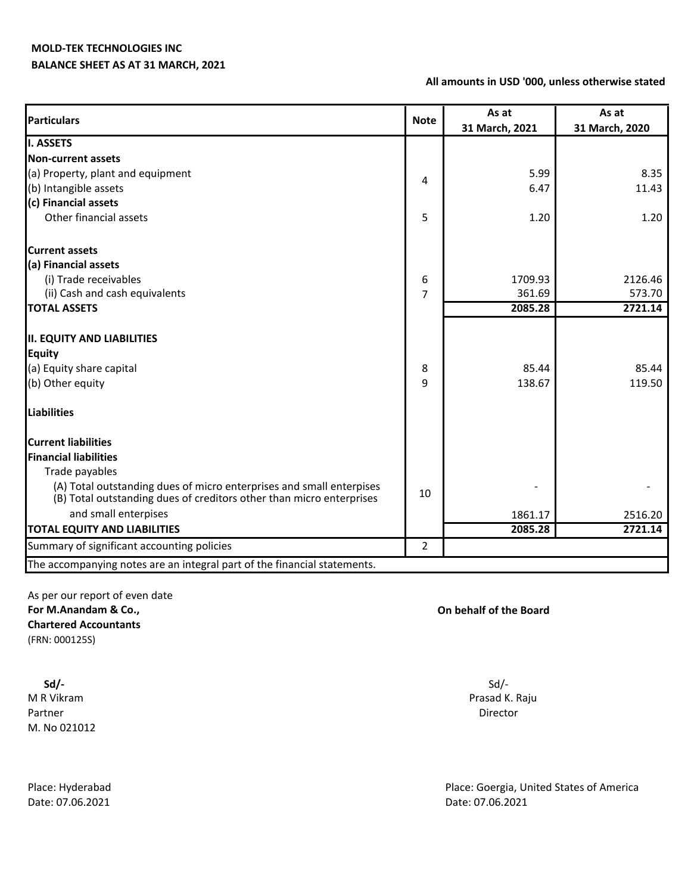# **BALANCE SHEET AS AT 31 MARCH, 2021**

### **All amounts in USD '000, unless otherwise stated**

| <b>Particulars</b>                                                       | <b>Note</b>    | As at<br>31 March, 2021 | As at<br>31 March, 2020 |
|--------------------------------------------------------------------------|----------------|-------------------------|-------------------------|
| <b>I. ASSETS</b>                                                         |                |                         |                         |
| <b>Non-current assets</b>                                                |                |                         |                         |
| (a) Property, plant and equipment                                        |                | 5.99                    | 8.35                    |
| (b) Intangible assets                                                    | 4              | 6.47                    | 11.43                   |
| (c) Financial assets                                                     |                |                         |                         |
| Other financial assets                                                   | 5              | 1.20                    | 1.20                    |
| <b>Current assets</b>                                                    |                |                         |                         |
| (a) Financial assets                                                     |                |                         |                         |
| (i) Trade receivables                                                    | 6              | 1709.93                 | 2126.46                 |
| (ii) Cash and cash equivalents                                           | 7              | 361.69                  | 573.70                  |
| <b>TOTAL ASSETS</b>                                                      |                | 2085.28                 | 2721.14                 |
|                                                                          |                |                         |                         |
| <b>II. EQUITY AND LIABILITIES</b>                                        |                |                         |                         |
| <b>Equity</b>                                                            |                |                         |                         |
| (a) Equity share capital                                                 | 8              | 85.44                   | 85.44                   |
| (b) Other equity                                                         | 9              | 138.67                  | 119.50                  |
| <b>Liabilities</b>                                                       |                |                         |                         |
| <b>Current liabilities</b>                                               |                |                         |                         |
| <b>Financial liabilities</b>                                             |                |                         |                         |
| Trade payables                                                           |                |                         |                         |
| (A) Total outstanding dues of micro enterprises and small enterpises     | 10             |                         |                         |
| (B) Total outstanding dues of creditors other than micro enterprises     |                |                         |                         |
| and small enterpises                                                     |                | 1861.17                 | 2516.20                 |
| <b>TOTAL EQUITY AND LIABILITIES</b>                                      |                | 2085.28                 | 2721.14                 |
| Summary of significant accounting policies                               | $\overline{2}$ |                         |                         |
| The accompanying notes are an integral part of the financial statements. |                |                         |                         |

As per our report of even date **For M.Anandam & Co., On behalf of the Board Chartered Accountants** (FRN: 000125S)

 **Sd/-**  M R Vikram Prasad K. Raju Partner Director (2001) 2012 12:00:00 Partner Director (2001) 2013 2014 2014 2015 2016 2017 2017 2017 2017 201 M. No 021012

Date: 07.06.2021 Date: 07.06.2021

Sd/-

Place: Hyderabad Place: Goergia, United States of America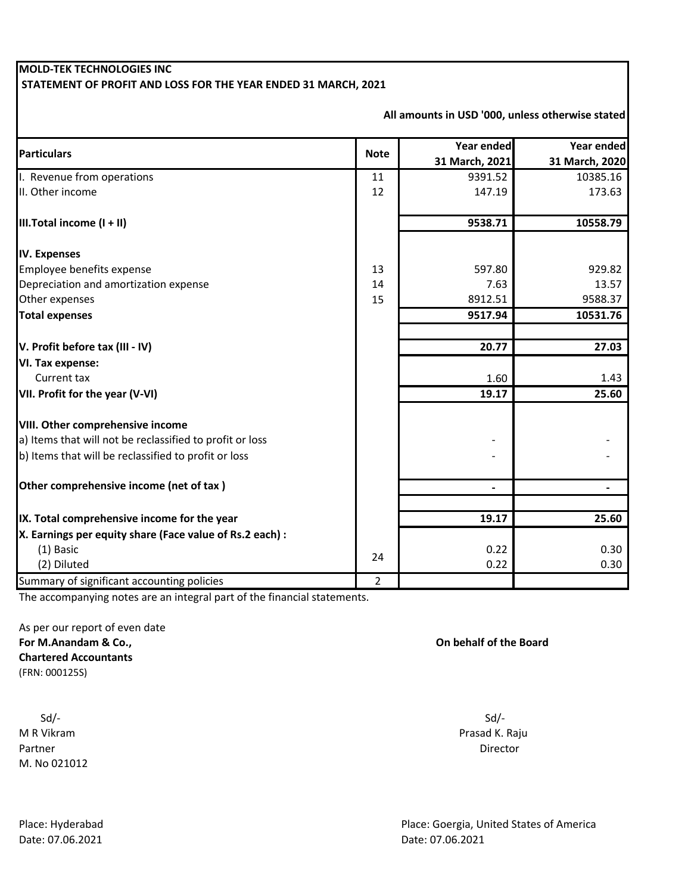# **MOLD-TEK TECHNOLOGIES INC STATEMENT OF PROFIT AND LOSS FOR THE YEAR ENDED 31 MARCH, 2021**

| <b>Particulars</b>                                       | <b>Note</b>    | Year ended     | Year ended     |
|----------------------------------------------------------|----------------|----------------|----------------|
|                                                          |                | 31 March, 2021 | 31 March, 2020 |
| I. Revenue from operations                               | 11             | 9391.52        | 10385.16       |
| II. Other income                                         | 12             | 147.19         | 173.63         |
| III. Total income $(I + II)$                             |                | 9538.71        | 10558.79       |
| <b>IV. Expenses</b>                                      |                |                |                |
| Employee benefits expense                                | 13             | 597.80         | 929.82         |
| Depreciation and amortization expense                    | 14             | 7.63           | 13.57          |
| Other expenses                                           | 15             | 8912.51        | 9588.37        |
| <b>Total expenses</b>                                    |                | 9517.94        | 10531.76       |
|                                                          |                | 20.77          |                |
| V. Profit before tax (III - IV)                          |                |                | 27.03          |
| VI. Tax expense:                                         |                |                |                |
| Current tax                                              |                | 1.60           | 1.43           |
| VII. Profit for the year (V-VI)                          |                | 19.17          | 25.60          |
| VIII. Other comprehensive income                         |                |                |                |
| a) Items that will not be reclassified to profit or loss |                |                |                |
| b) Items that will be reclassified to profit or loss     |                |                |                |
| Other comprehensive income (net of tax)                  |                |                |                |
|                                                          |                |                |                |
| IX. Total comprehensive income for the year              |                | 19.17          | 25.60          |
| X. Earnings per equity share (Face value of Rs.2 each) : |                |                |                |
| (1) Basic                                                | 24             | 0.22           | 0.30           |
| (2) Diluted                                              |                | 0.22           | 0.30           |
| Summary of significant accounting policies               | $\overline{2}$ |                |                |

**All amounts in USD '000, unless otherwise stated**

The accompanying notes are an integral part of the financial statements.

As per our report of even date **For M.Anandam & Co., Chartered Accountants** (FRN: 000125S)

 Sd/- Sd/- M R Vikram Prasad K. Raju Partner Director (2001) 2012 12:00:00 Partner Director (2001) 2013 2014 2014 2015 2016 2017 2017 2017 2017 201 M. No 021012

**On behalf of the Board**

Place: Hyderabad Place: Goergia, United States of America Date: 07.06.2021 Date: 07.06.2021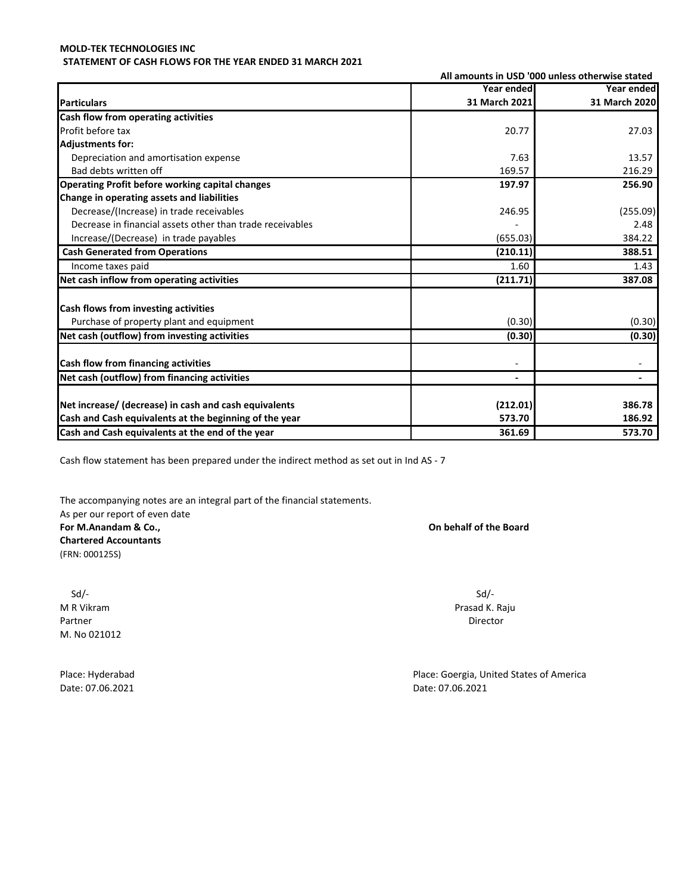### **MOLD-TEK TECHNOLOGIES INC STATEMENT OF CASH FLOWS FOR THE YEAR ENDED 31 MARCH 2021**

| All amounts in USD '000 unless otherwise stated           |               |               |
|-----------------------------------------------------------|---------------|---------------|
|                                                           | Year ended    | Year ended    |
| <b>Particulars</b>                                        | 31 March 2021 | 31 March 2020 |
| Cash flow from operating activities                       |               |               |
| Profit before tax                                         | 20.77         | 27.03         |
| <b>Adjustments for:</b>                                   |               |               |
| Depreciation and amortisation expense                     | 7.63          | 13.57         |
| Bad debts written off                                     | 169.57        | 216.29        |
| Operating Profit before working capital changes           | 197.97        | 256.90        |
| Change in operating assets and liabilities                |               |               |
| Decrease/(Increase) in trade receivables                  | 246.95        | (255.09)      |
| Decrease in financial assets other than trade receivables |               | 2.48          |
| Increase/(Decrease) in trade payables                     | (655.03)      | 384.22        |
| <b>Cash Generated from Operations</b>                     | (210.11)      | 388.51        |
| Income taxes paid                                         | 1.60          | 1.43          |
| Net cash inflow from operating activities                 | (211.71)      | 387.08        |
| <b>Cash flows from investing activities</b>               |               |               |
| Purchase of property plant and equipment                  | (0.30)        | (0.30)        |
| Net cash (outflow) from investing activities              | (0.30)        | (0.30)        |
| Cash flow from financing activities                       |               |               |
| Net cash (outflow) from financing activities              |               |               |
| Net increase/ (decrease) in cash and cash equivalents     | (212.01)      | 386.78        |
| Cash and Cash equivalents at the beginning of the year    | 573.70        | 186.92        |
| Cash and Cash equivalents at the end of the year          | 361.69        | 573.70        |
|                                                           |               |               |

Cash flow statement has been prepared under the indirect method as set out in Ind AS - 7

The accompanying notes are an integral part of the financial statements. As per our report of even date **For M.Anandam & Co., On behalf of the Board Chartered Accountants** (FRN: 000125S)

Sd/- Sd/- M R Vikram Prasad K. Raju Partner Director (2001) 2012 12:30 Partner Director (2001) 2012 12:30 Partner Director (2001) 2012 12:30 Partner M. No 021012

Place: Hyderabad **Place: Hyderabad** Place: Goergia, United States of America Date: 07.06.2021 Date: 07.06.2021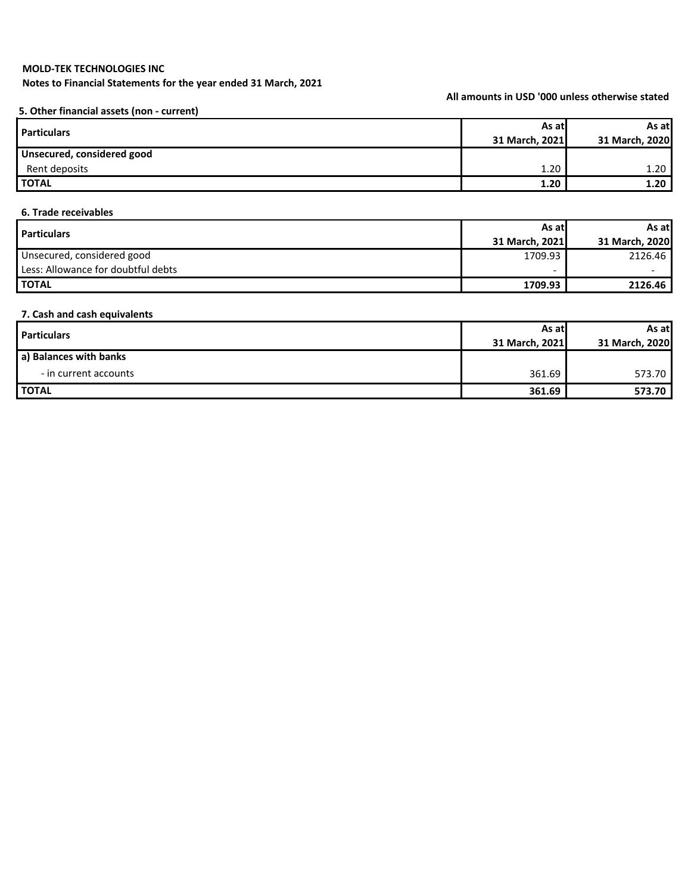**Notes to Financial Statements for the year ended 31 March, 2021**

**All amounts in USD '000 unless otherwise stated**

**5. Other financial assets (non - current)**

| <b>Particulars</b>         | As atl         | As at          |
|----------------------------|----------------|----------------|
|                            | 31 March, 2021 | 31 March, 2020 |
| Unsecured, considered good |                |                |
| Rent deposits              | 1.20           | 1.20           |
| <b>I TOTAL</b>             | 1.20           | 1.20           |

### **6. Trade receivables**

| <b>Particulars</b>                 | As atl         | As at          |
|------------------------------------|----------------|----------------|
|                                    | 31 March, 2021 | 31 March, 2020 |
| Unsecured, considered good         | 1709.93        | 2126.46        |
| Less: Allowance for doubtful debts | -              |                |
| <b>I TOTAL</b>                     | 1709.93        | 2126.46        |

### **7. Cash and cash equivalents**

| <b>Particulars</b>     | As atl         | As at          |
|------------------------|----------------|----------------|
|                        | 31 March, 2021 | 31 March, 2020 |
| a) Balances with banks |                |                |
| - in current accounts  | 361.69         | 573.70         |
| <b>TOTAL</b>           | 361.69         | 573.70         |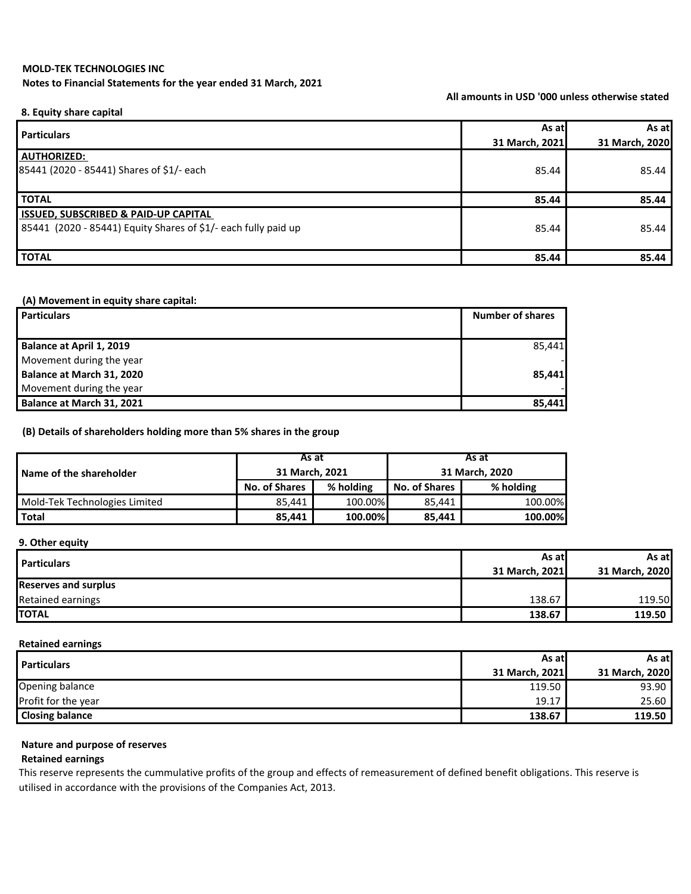### **Notes to Financial Statements for the year ended 31 March, 2021**

**All amounts in USD '000 unless otherwise stated**

### **8. Equity share capital**

| <b>Particulars</b>                                             | As at          | As at          |
|----------------------------------------------------------------|----------------|----------------|
|                                                                | 31 March, 2021 | 31 March, 2020 |
| <b>AUTHORIZED:</b>                                             |                |                |
| 85441 (2020 - 85441) Shares of \$1/- each                      | 85.44          | 85.44          |
|                                                                |                |                |
| <b>TOTAL</b>                                                   | 85.44          | 85.44          |
| <b>ISSUED, SUBSCRIBED &amp; PAID-UP CAPITAL</b>                |                |                |
| 85441 (2020 - 85441) Equity Shares of \$1/- each fully paid up | 85.44          | 85.44          |
|                                                                |                |                |
| <b>TOTAL</b>                                                   | 85.44          | 85.44          |

### **(A) Movement in equity share capital:**

| <b>Particulars</b>        | <b>Number of shares</b> |
|---------------------------|-------------------------|
|                           |                         |
| Balance at April 1, 2019  | 85,441                  |
| Movement during the year  |                         |
| Balance at March 31, 2020 | 85.441                  |
| Movement during the year  |                         |
| Balance at March 31, 2021 | 85,441                  |

### **(B) Details of shareholders holding more than 5% shares in the group**

|                               | As at                |           | As at                |           |
|-------------------------------|----------------------|-----------|----------------------|-----------|
| Name of the shareholder       | 31 March, 2021       |           | 31 March, 2020       |           |
|                               | <b>No. of Shares</b> | % holding | <b>No. of Shares</b> | % holding |
| Mold-Tek Technologies Limited | 85.441               | 100.00%   | 85.441               | 100.00%   |
| <b>Total</b>                  | 85.441               | 100.00%   | 85.441               | 100.00%   |

### **9. Other equity**

| <b>Particulars</b>          | As at l        | As atl         |
|-----------------------------|----------------|----------------|
|                             | 31 March, 2021 | 31 March, 2020 |
| <b>Reserves and surplus</b> |                |                |
| Retained earnings           | 138.67         | 119.50         |
| <b>TOTAL</b>                | 138.67         | 119.50         |

### **Retained earnings**

| <b>Particulars</b>     | As atl         | As atl         |
|------------------------|----------------|----------------|
|                        | 31 March, 2021 | 31 March, 2020 |
| Opening balance        | 119.50         | 93.90          |
| Profit for the year    | 19.17          | 25.60          |
| <b>Closing balance</b> | 138.67         | 119.50         |

# **Nature and purpose of reserves**

### **Retained earnings**

This reserve represents the cummulative profits of the group and effects of remeasurement of defined benefit obligations. This reserve is utilised in accordance with the provisions of the Companies Act, 2013.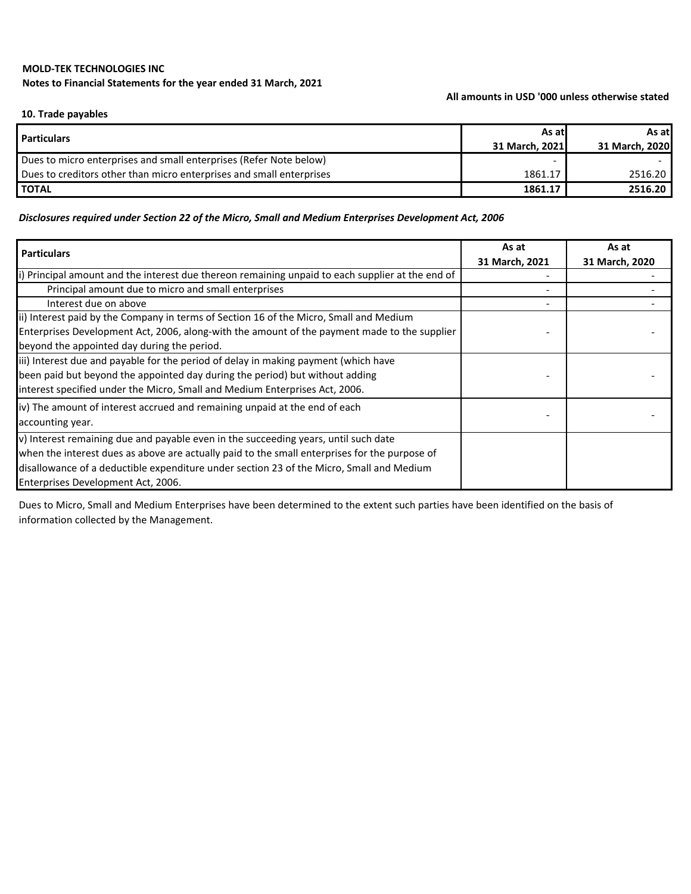# **MOLD-TEK TECHNOLOGIES INC Notes to Financial Statements for the year ended 31 March, 2021**

### **All amounts in USD '000 unless otherwise stated**

### **10. Trade payables**

| <b>Particulars</b>                                                   | As atl         | As at          |
|----------------------------------------------------------------------|----------------|----------------|
|                                                                      | 31 March. 2021 | 31 March, 2020 |
| Dues to micro enterprises and small enterprises (Refer Note below)   |                |                |
| Dues to creditors other than micro enterprises and small enterprises | 1861.17        | 2516.20        |
| <b>I TOTAL</b>                                                       | 1861.17        | 2516.20        |

## *Disclosures required under Section 22 of the Micro, Small and Medium Enterprises Development Act, 2006*

| <b>Particulars</b>                                                                               | As at          | As at          |
|--------------------------------------------------------------------------------------------------|----------------|----------------|
|                                                                                                  | 31 March, 2021 | 31 March, 2020 |
| i) Principal amount and the interest due thereon remaining unpaid to each supplier at the end of |                |                |
| Principal amount due to micro and small enterprises                                              |                |                |
| Interest due on above                                                                            |                |                |
| ii) Interest paid by the Company in terms of Section 16 of the Micro, Small and Medium           |                |                |
| Enterprises Development Act, 2006, along-with the amount of the payment made to the supplier     |                |                |
| beyond the appointed day during the period.                                                      |                |                |
| iii) Interest due and payable for the period of delay in making payment (which have              |                |                |
| been paid but beyond the appointed day during the period) but without adding                     |                |                |
| interest specified under the Micro, Small and Medium Enterprises Act, 2006.                      |                |                |
| iv) The amount of interest accrued and remaining unpaid at the end of each                       |                |                |
| accounting year.                                                                                 |                |                |
| v) Interest remaining due and payable even in the succeeding years, until such date              |                |                |
| when the interest dues as above are actually paid to the small enterprises for the purpose of    |                |                |
| disallowance of a deductible expenditure under section 23 of the Micro, Small and Medium         |                |                |
| Enterprises Development Act, 2006.                                                               |                |                |

Dues to Micro, Small and Medium Enterprises have been determined to the extent such parties have been identified on the basis of information collected by the Management.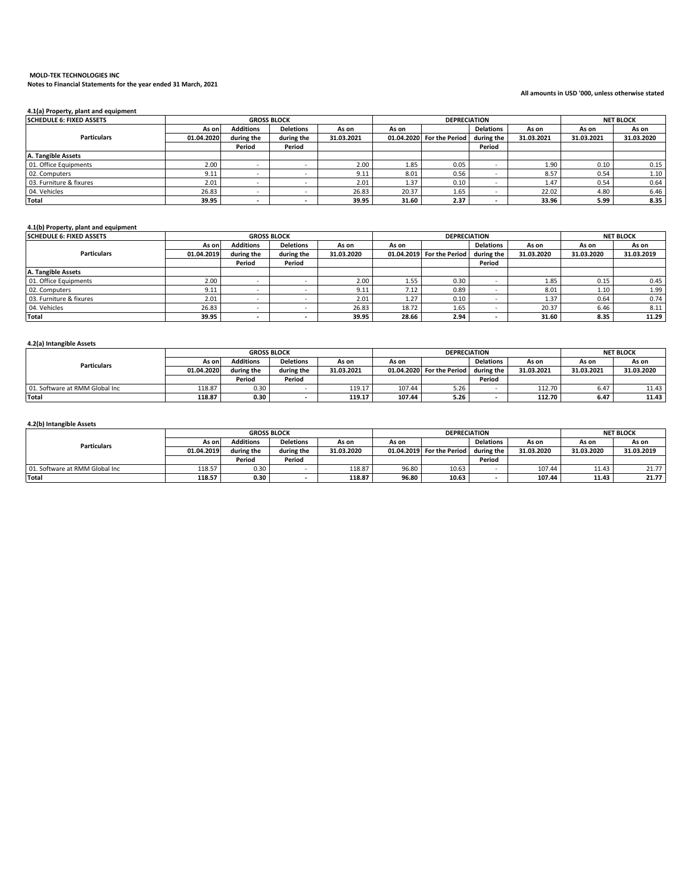### **MOLD-TEK TECHNOLOGIES INC Notes to Financial Statements for the year ended 31 March, 2021**

### **All amounts in USD '000, unless otherwise stated**

| 4.1(a) Property, plant and equipment |            |                    |                  |            |       |                           |                  |            |            |                  |
|--------------------------------------|------------|--------------------|------------------|------------|-------|---------------------------|------------------|------------|------------|------------------|
| <b>SCHEDULE 6: FIXED ASSETS</b>      |            | <b>GROSS BLOCK</b> |                  |            |       | <b>DEPRECIATION</b>       |                  |            |            | <b>NET BLOCK</b> |
|                                      | As on      | <b>Additions</b>   | <b>Deletions</b> | As on      | As on |                           | <b>Delations</b> | As on      | As on      | As on            |
| <b>Particulars</b>                   | 01.04.2020 | during the         | during the       | 31.03.2021 |       | 01.04.2020 For the Period | during the       | 31.03.2021 | 31.03.2021 | 31.03.2020       |
|                                      |            | Period             | Period           |            |       |                           | Period           |            |            |                  |
| A. Tangible Assets                   |            |                    |                  |            |       |                           |                  |            |            |                  |
| 01. Office Equipments                | 2.00       |                    |                  | 2.00       | 1.85  | 0.05                      |                  | 1.90       | 0.10       | 0.15             |
| 02. Computers                        | 9.11       |                    |                  | 9.11       | 8.01  | 0.56                      |                  | 8.57       | 0.54       | 1.10             |
| 03. Furniture & fixures              | 2.01       |                    |                  | 2.01       | 1.37  | 0.10                      |                  | 1.47       | 0.54       | 0.64             |
| 04. Vehicles                         | 26.83      |                    |                  | 26.83      | 20.37 | 1.65                      |                  | 22.02      | 4.80       | 6.46             |
| <b>Total</b>                         | 39.95      |                    |                  | 39.95      | 31.60 | 2.37                      |                  | 33.96      | 5.99       | 8.35             |

### **4.1(b) Property, plant and equipment**

| <b>SCHEDULE 6: FIXED ASSETS</b> |            | <b>GROSS BLOCK</b> |                  |            |       | <b>DEPRECIATION</b>       |                  |            |            | <b>NET BLOCK</b> |
|---------------------------------|------------|--------------------|------------------|------------|-------|---------------------------|------------------|------------|------------|------------------|
|                                 | As on      | <b>Additions</b>   | <b>Deletions</b> | As on      | As on |                           | <b>Delations</b> | As on      | As on      | As on            |
| <b>Particulars</b>              | 01.04.2019 | during the         | during the       | 31.03.2020 |       | 01.04.2019 For the Period | during the       | 31.03.2020 | 31.03.2020 | 31.03.2019       |
|                                 |            | Period             | Period           |            |       |                           | Period           |            |            |                  |
| A. Tangible Assets              |            |                    |                  |            |       |                           |                  |            |            |                  |
| 01. Office Equipments           | 2.00       |                    |                  | 2.00       | 1.55  | 0.30                      |                  | 1.85       | 0.15       | 0.45             |
| 02. Computers                   | 9.11       |                    |                  | 9.11       | 7.12  | 0.89                      |                  | 8.01       | 1.10       | 1.99             |
| 03. Furniture & fixures         | 2.01       |                    |                  | 2.01       | 1.27  | 0.10                      |                  | 1.37       | 0.64       | 0.74             |
| 04. Vehicles                    | 26.83      |                    |                  | 26.83      | 18.72 | 1.65                      |                  | 20.37      | 6.46       | 8.11             |
| <b>Total</b>                    | 39.95      |                    |                  | 39.95      | 28.66 | 2.94                      |                  | 31.60      | 8.35       | 11.29            |

### **4.2(a) Intangible Assets**

|                                | <b>GROSS BLOCK</b> |                  |                  | <b>DEPRECIATION</b> |        |                           |                  | <b>NET BLOCK</b> |            |            |
|--------------------------------|--------------------|------------------|------------------|---------------------|--------|---------------------------|------------------|------------------|------------|------------|
| <b>Particulars</b>             | As on l            | <b>Additions</b> | <b>Deletions</b> | As on               | As on  |                           | <b>Delations</b> | As on            | As on      | As on      |
|                                | 01.04.2020         | during the       | during the       | 31.03.2021          |        | 01.04.2020 For the Period | during the       | 31.03.2021       | 31.03.2021 | 31.03.2020 |
|                                |                    | Period           | Period           |                     |        |                           | Period           |                  |            |            |
| 01. Software at RMM Global Inc | 118.87             | 0.30             |                  | 119.17              | 107.44 | 5.26                      |                  | 112.70           | 6.47       | 11.43      |
| Total                          | 118.87             | 0.30             |                  | 119.17              | 107.44 | 5.26                      |                  | 112.70           | 6.47       | 11.43      |

### **4.2(b) Intangible Assets**

|                                 | <b>GROSS BLOCK</b> |                  |                  | <b>DEPRECIATION</b> |       |                           |                  | <b>NET BLOCK</b> |            |            |
|---------------------------------|--------------------|------------------|------------------|---------------------|-------|---------------------------|------------------|------------------|------------|------------|
| <b>Particulars</b>              | As onl             | <b>Additions</b> | <b>Deletions</b> | As on               | As on |                           | <b>Delations</b> | As on            | As on      | As on      |
|                                 | 01.04.2019         | during the       | during the       | 31.03.2020          |       | 01.04.2019 For the Period | during the       | 31.03.2020       | 31.03.2020 | 31.03.2019 |
|                                 |                    | Period           | Period           |                     |       |                           | Period           |                  |            |            |
| 01. Software at RMM Global Inc. | 118.57             | 0.30             |                  | 118.87              | 96.80 | 10.63                     |                  | 107.44           | 11.43      | 21.77      |
| <b>Total</b>                    | 118.57             | 0.30             |                  | 118.87              | 96.80 | 10.63                     |                  | 107.44           | 11.43      | 21.77      |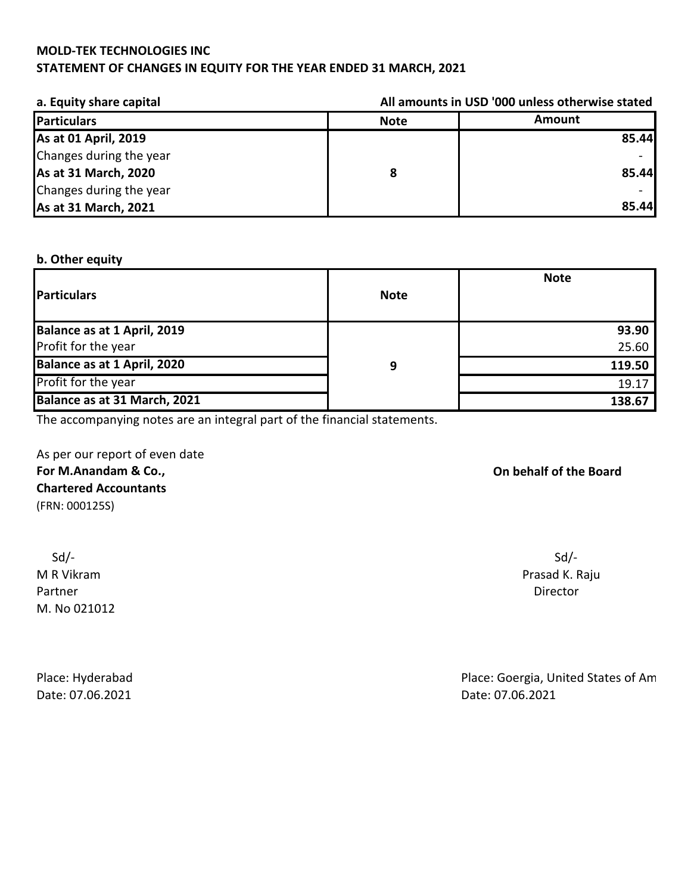# **STATEMENT OF CHANGES IN EQUITY FOR THE YEAR ENDED 31 MARCH, 2021**

| a. Equity share capital |             | All amounts in USD '000 unless otherwise stated |  |  |  |  |
|-------------------------|-------------|-------------------------------------------------|--|--|--|--|
| Particulars             | <b>Note</b> | Amount                                          |  |  |  |  |
| As at 01 April, 2019    |             | 85.44                                           |  |  |  |  |
| Changes during the year |             |                                                 |  |  |  |  |
| As at 31 March, 2020    |             | 85.44                                           |  |  |  |  |
| Changes during the year |             |                                                 |  |  |  |  |
| As at 31 March, 2021    |             | 85.44                                           |  |  |  |  |

# **b. Other equity**

| <b>Particulars</b>           | <b>Note</b> | <b>Note</b> |
|------------------------------|-------------|-------------|
| Balance as at 1 April, 2019  |             | 93.90       |
| Profit for the year          |             | 25.60       |
| Balance as at 1 April, 2020  | 9           | 119.50      |
| Profit for the year          |             | 19.17       |
| Balance as at 31 March, 2021 |             | 138.67      |

The accompanying notes are an integral part of the financial statements.

As per our report of even date **For M.Anandam & Co., Chartered Accountants** (FRN: 000125S)

 Sd/- Sd/- Partner Director M. No 021012

Date: 07.06.2021 Date: 07.06.2021

# **On behalf of the Board**

M R Vikram **Prasad K. Raju** 

Place: Hyderabad Place: Goergia, United States of American Place: Goergia, United States of American Place: Goergia, United States of American Place: Goergia, United States of American Place: Goergia, United States of Amer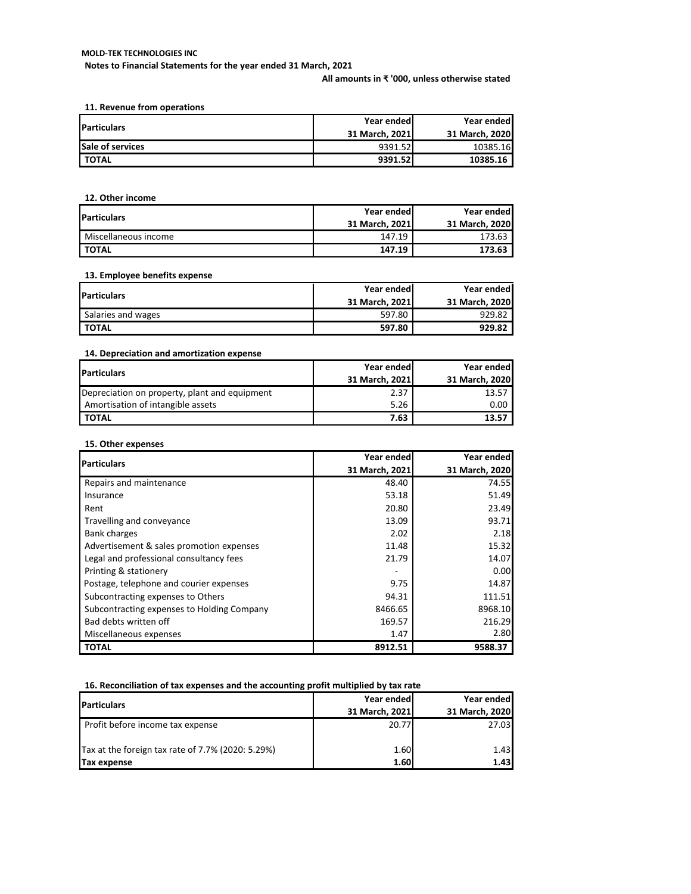**Notes to Financial Statements for the year ended 31 March, 2021**

**All amounts in ₹ '000, unless otherwise stated**

**11. Revenue from operations**

| <b>Particulars</b> | Year ended     | Year ended     |
|--------------------|----------------|----------------|
|                    | 31 March, 2021 | 31 March, 2020 |
| Sale of services   | 9391.52        | 10385.16       |
| I TOTAL            | 9391.52        | 10385.16       |

**12. Other income**

| <b>Particulars</b>   | Year ended     | Year ended     |  |
|----------------------|----------------|----------------|--|
|                      | 31 March. 2021 | 31 March. 2020 |  |
| Miscellaneous income | 147.19         | 173.63         |  |
| Ι τοται              | 147.19         | 173.63         |  |

### **13. Employee benefits expense**

|                    | Year ended     | Year ended     |
|--------------------|----------------|----------------|
| <b>Particulars</b> | 31 March. 2021 | 31 March. 2020 |
| Salaries and wages | 597.80         | 929.82         |
| TOTAL              | 597.80         | 929.82         |

## **14. Depreciation and amortization expense**

| <b>Particulars</b>                            | Year ended     | Year ended     |  |  |
|-----------------------------------------------|----------------|----------------|--|--|
|                                               | 31 March, 2021 | 31 March, 2020 |  |  |
| Depreciation on property, plant and equipment | 2.37           | 13.57          |  |  |
| Amortisation of intangible assets             | 5.26           | 0.00           |  |  |
| <b>TOTAL</b>                                  | 7.63           | 13.57          |  |  |

### **15. Other expenses**

| <b>Particulars</b>                         | Year ended     | Year ended     |
|--------------------------------------------|----------------|----------------|
|                                            | 31 March, 2021 | 31 March, 2020 |
| Repairs and maintenance                    | 48.40          | 74.55          |
| Insurance                                  | 53.18          | 51.49          |
| Rent                                       | 20.80          | 23.49          |
| Travelling and conveyance                  | 13.09          | 93.71          |
| <b>Bank charges</b>                        | 2.02           | 2.18           |
| Advertisement & sales promotion expenses   | 11.48          | 15.32          |
| Legal and professional consultancy fees    | 21.79          | 14.07          |
| Printing & stationery                      |                | 0.00           |
| Postage, telephone and courier expenses    | 9.75           | 14.87          |
| Subcontracting expenses to Others          | 94.31          | 111.51         |
| Subcontracting expenses to Holding Company | 8466.65        | 8968.10        |
| Bad debts written off                      | 169.57         | 216.29         |
| Miscellaneous expenses                     | 1.47           | 2.80           |
| <b>TOTAL</b>                               | 8912.51        | 9588.37        |

### **16. Reconciliation of tax expenses and the accounting profit multiplied by tax rate**

| <b>IParticulars</b>                               | Year ended<br>31 March, 2021 | Year ended<br>31 March, 2020 |
|---------------------------------------------------|------------------------------|------------------------------|
| Profit before income tax expense                  | 20.77                        | 27.03                        |
| Tax at the foreign tax rate of 7.7% (2020: 5.29%) | 1.60                         | 1.43                         |
| Tax expense                                       | 1.60                         | 1.43                         |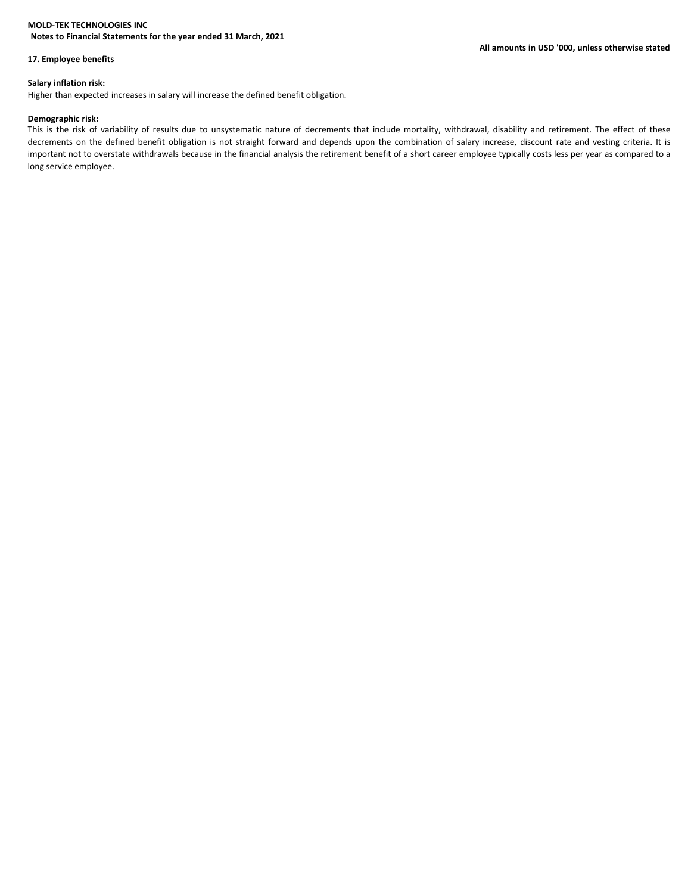### **Notes to Financial Statements for the year ended 31 March, 2021**

### **17. Employee benefits**

#### **Salary inflation risk:**

Higher than expected increases in salary will increase the defined benefit obligation.

#### **Demographic risk:**

This is the risk of variability of results due to unsystematic nature of decrements that include mortality, withdrawal, disability and retirement. The effect of these decrements on the defined benefit obligation is not straight forward and depends upon the combination of salary increase, discount rate and vesting criteria. It is important not to overstate withdrawals because in the financial analysis the retirement benefit of a short career employee typically costs less per year as compared to a long service employee.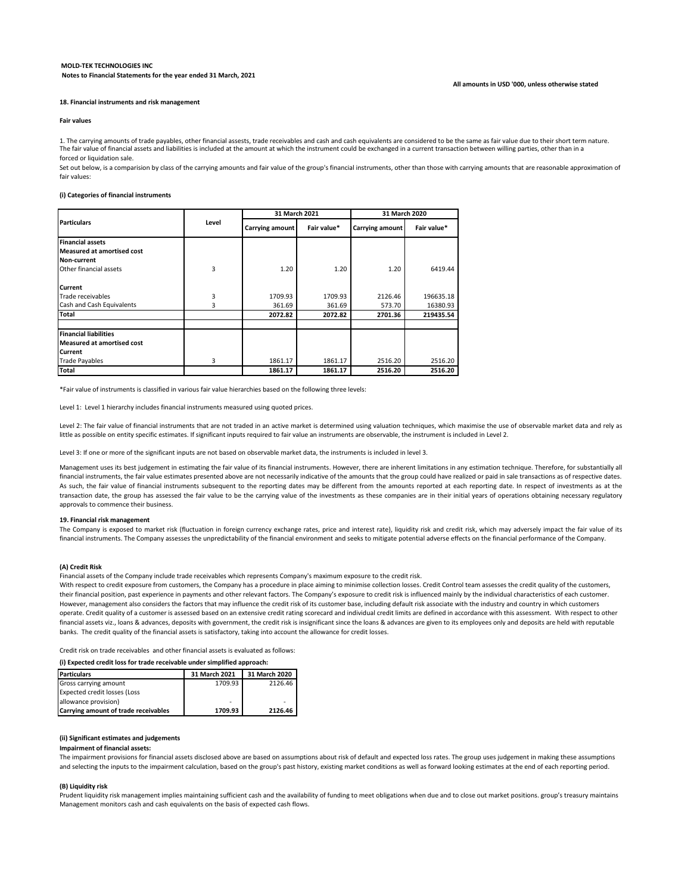#### **All amounts in USD '000, unless otherwise stated**

#### **18. Financial instruments and risk management**

#### **Fair values**

1. The carrying amounts of trade payables, other financial assests, trade receivables and cash and cash equivalents are considered to be the same as fair value due to their short term nature. The fair value of financial assets and liabilities is included at the amount at which the instrument could be exchanged in a current transaction between willing parties, other than in a forced or liquidation sale.

Set out below, is a comparision by class of the carrying amounts and fair value of the group's financial instruments, other than those with carrying amounts that are reasonable approximation of fair values:

#### **(i) Categories of financial instruments**

|                                   |                 | 31 March 2021 |                        | 31 March 2020 |           |
|-----------------------------------|-----------------|---------------|------------------------|---------------|-----------|
| <b>Particulars</b><br>Level       | Carrying amount | Fair value*   | <b>Carrying amount</b> | Fair value*   |           |
| <b>Financial assets</b>           |                 |               |                        |               |           |
| <b>Measured at amortised cost</b> |                 |               |                        |               |           |
| Non-current                       |                 |               |                        |               |           |
| Other financial assets            | 3               | 1.20          | 1.20                   | 1.20          | 6419.44   |
| <b>Current</b>                    |                 |               |                        |               |           |
| Trade receivables                 | 3               | 1709.93       | 1709.93                | 2126.46       | 196635.18 |
| Cash and Cash Equivalents         | 3               | 361.69        | 361.69                 | 573.70        | 16380.93  |
| <b>Total</b>                      |                 | 2072.82       | 2072.82                | 2701.36       | 219435.54 |
| <b>Financial liabilities</b>      |                 |               |                        |               |           |
| <b>Measured at amortised cost</b> |                 |               |                        |               |           |
| <b>Current</b>                    |                 |               |                        |               |           |
| <b>Trade Payables</b>             | 3               | 1861.17       | 1861.17                | 2516.20       | 2516.20   |
| <b>Total</b>                      |                 | 1861.17       | 1861.17                | 2516.20       | 2516.20   |

\*Fair value of instruments is classified in various fair value hierarchies based on the following three levels:

Level 1: Level 1 hierarchy includes financial instruments measured using quoted prices.

Level 2: The fair value of financial instruments that are not traded in an active market is determined using valuation techniques, which maximise the use of observable market data and rely as little as possible on entity specific estimates. If significant inputs required to fair value an instruments are observable, the instrument is included in Level 2.

Level 3: If one or more of the significant inputs are not based on observable market data, the instruments is included in level 3.

Management uses its best judgement in estimating the fair value of its financial instruments. However, there are inherent limitations in any estimation technique. Therefore, for substantially all financial instruments, the fair value estimates presented above are not necessarily indicative of the amounts that the group could have realized or paid in sale transactions as of respective dates. As such, the fair value of financial instruments subsequent to the reporting dates may be different from the amounts reported at each reporting date. In respect of investments as at the transaction date, the group has assessed the fair value to be the carrying value of the investments as these companies are in their initial years of operations obtaining necessary regulatory approvals to commence their business.

#### **19. Financial risk management**

The Company is exposed to market risk (fluctuation in foreign currency exchange rates, price and interest rate), liquidity risk and credit risk, which may adversely impact the fair value of its financial instruments. The Company assesses the unpredictability of the financial environment and seeks to mitigate potential adverse effects on the financial performance of the Company.

#### **(A) Credit Risk**

Financial assets of the Company include trade receivables which represents Company's maximum exposure to the credit risk.

With respect to credit exposure from customers, the Company has a procedure in place aiming to minimise collection losses. Credit Control team assesses the credit quality of the customers, their financial position, past experience in payments and other relevant factors. The Company's exposure to credit risk is influenced mainly by the individual characteristics of each customer. However, management also considers the factors that may influence the credit risk of its customer base, including default risk associate with the industry and country in which customers operate. Credit quality of a customer is assessed based on an extensive credit rating scorecard and individual credit limits are defined in accordance with this assessment. With respect to other financial assets viz., loans & advances, deposits with government, the credit risk is insignificant since the loans & advances are given to its employees only and deposits are held with reputable banks. The credit quality of the financial assets is satisfactory, taking into account the allowance for credit losses.

Credit risk on trade receivables and other financial assets is evaluated as follows:

#### **(i) Expected credit loss for trade receivable under simplified approach:**

| <b>Particulars</b>                   | 31 March 2021 | 31 March 2020 |
|--------------------------------------|---------------|---------------|
| Gross carrying amount                | 1709.93       | 2126.46       |
| <b>Expected credit losses (Loss</b>  |               |               |
| allowance provision)                 |               |               |
| Carrying amount of trade receivables | 1709.93       | 2126.46       |

#### **(ii) Significant estimates and judgements**

#### **Impairment of financial assets:**

The impairment provisions for financial assets disclosed above are based on assumptions about risk of default and expected loss rates. The group uses judgement in making these assumptions and selecting the inputs to the impairment calculation, based on the group's past history, existing market conditions as well as forward looking estimates at the end of each reporting period.

#### **(B) Liquidity risk**

Management monitors cash and cash equivalents on the basis of expected cash flows. Prudent liquidity risk management implies maintaining sufficient cash and the availability of funding to meet obligations when due and to close out market positions. group's treasury maintains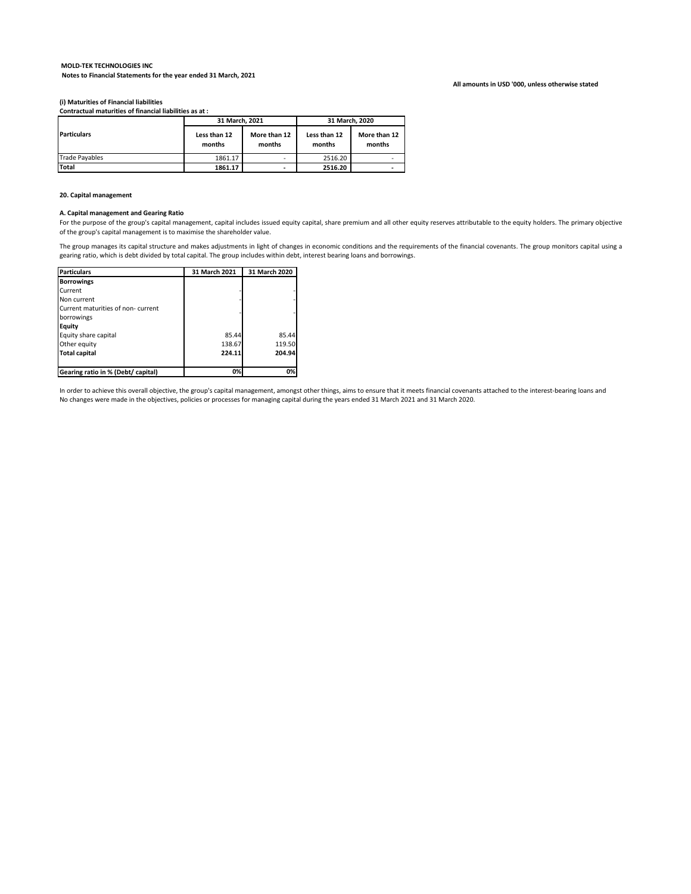#### **MOLD-TEK TECHNOLOGIES INC Notes to Financial Statements for the year ended 31 March, 2021**

#### **All amounts in USD '000, unless otherwise stated**

**(i) Maturities of Financial liabilities Contractual maturities of financial liabilities as at :**

|                       |                        | 31 March. 2021         |                        | 31 March. 2020         |  |
|-----------------------|------------------------|------------------------|------------------------|------------------------|--|
| <b>Particulars</b>    | Less than 12<br>months | More than 12<br>months | Less than 12<br>months | More than 12<br>months |  |
| <b>Trade Pavables</b> | 1861.17                |                        | 2516.20                | ٠                      |  |
| <b>Total</b>          | 1861.17                | ۰                      | 2516.20                |                        |  |

#### **20. Capital management**

#### **A. Capital management and Gearing Ratio**

For the purpose of the group's capital management, capital includes issued equity capital, share premium and all other equity reserves attributable to the equity holders. The primary objective of the group's capital management is to maximise the shareholder value.

The group manages its capital structure and makes adjustments in light of changes in economic conditions and the requirements of the financial covenants. The group monitors capital using a gearing ratio, which is debt divided by total capital. The group includes within debt, interest bearing loans and borrowings.

| <b>Particulars</b>                 | 31 March 2021 | 31 March 2020 |
|------------------------------------|---------------|---------------|
| <b>Borrowings</b>                  |               |               |
| Current                            |               |               |
| Non current                        |               |               |
| Current maturities of non-current  |               |               |
| borrowings                         |               |               |
| Equity                             |               |               |
| Equity share capital               | 85.44         | 85.44         |
| Other equity                       | 138.67        | 119.50        |
| <b>Total capital</b>               | 224.11        | 204.94        |
|                                    |               |               |
| Gearing ratio in % (Debt/ capital) | 0%            | 0%            |

In order to achieve this overall objective, the group's capital management, amongst other things, aims to ensure that it meets financial covenants attached to the interest-bearing loans and No changes were made in the objectives, policies or processes for managing capital during the years ended 31 March 2021 and 31 March 2020.